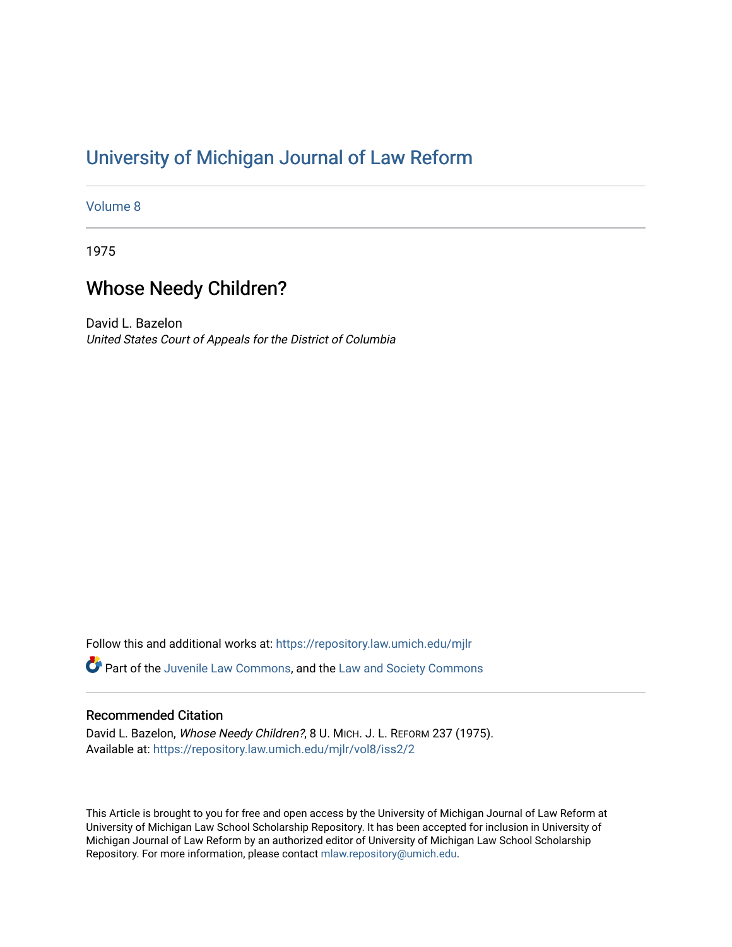## [University of Michigan Journal of Law Reform](https://repository.law.umich.edu/mjlr)

[Volume 8](https://repository.law.umich.edu/mjlr/vol8)

1975

# Whose Needy Children?

David L. Bazelon United States Court of Appeals for the District of Columbia

Follow this and additional works at: [https://repository.law.umich.edu/mjlr](https://repository.law.umich.edu/mjlr?utm_source=repository.law.umich.edu%2Fmjlr%2Fvol8%2Fiss2%2F2&utm_medium=PDF&utm_campaign=PDFCoverPages) 

Part of the [Juvenile Law Commons](http://network.bepress.com/hgg/discipline/851?utm_source=repository.law.umich.edu%2Fmjlr%2Fvol8%2Fiss2%2F2&utm_medium=PDF&utm_campaign=PDFCoverPages), and the [Law and Society Commons](http://network.bepress.com/hgg/discipline/853?utm_source=repository.law.umich.edu%2Fmjlr%2Fvol8%2Fiss2%2F2&utm_medium=PDF&utm_campaign=PDFCoverPages) 

### Recommended Citation

David L. Bazelon, Whose Needy Children?, 8 U. MICH. J. L. REFORM 237 (1975). Available at: [https://repository.law.umich.edu/mjlr/vol8/iss2/2](https://repository.law.umich.edu/mjlr/vol8/iss2/2?utm_source=repository.law.umich.edu%2Fmjlr%2Fvol8%2Fiss2%2F2&utm_medium=PDF&utm_campaign=PDFCoverPages)

This Article is brought to you for free and open access by the University of Michigan Journal of Law Reform at University of Michigan Law School Scholarship Repository. It has been accepted for inclusion in University of Michigan Journal of Law Reform by an authorized editor of University of Michigan Law School Scholarship Repository. For more information, please contact [mlaw.repository@umich.edu](mailto:mlaw.repository@umich.edu).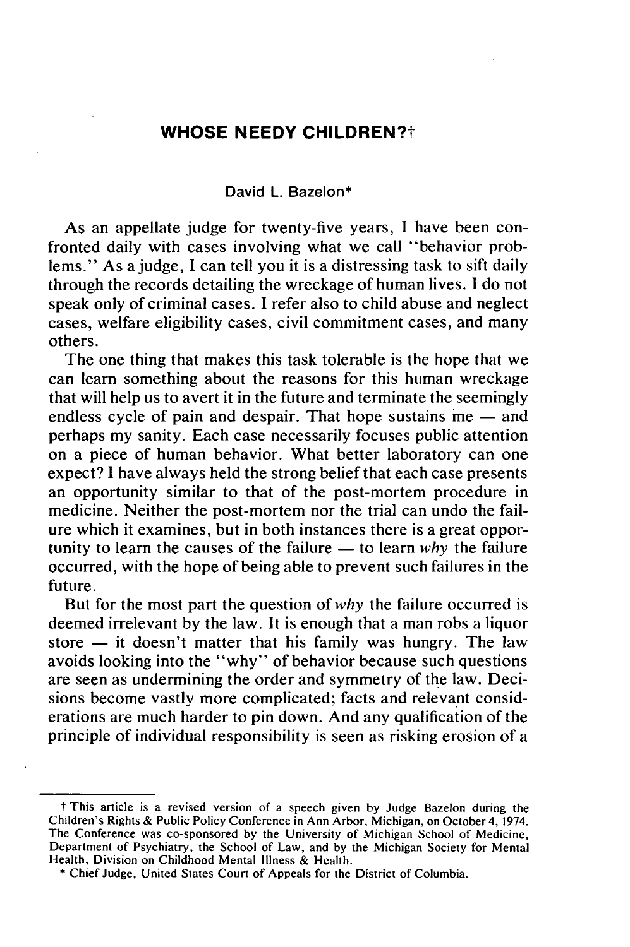### **WHOSE NEEDY CHILDREN?t**

#### David L. Bazelon\*

As an appellate judge for twenty-five years, I have been confronted daily with cases involving what we call "behavior problems." As a judge, I can tell you it is a distressing task to sift daily through the records detailing the wreckage of human lives. **I** do not speak only of criminal cases. **I** refer also to child abuse and neglect cases, welfare eligibility cases, civil commitment cases, and many others.

The one thing that makes this task tolerable is the hope that we can learn something about the reasons for this human wreckage that will help us to avert it in the future and terminate the seemingly endless cycle of pain and despair. That hope sustains  $me$  - and perhaps my sanity. Each case necessarily focuses public attention on a piece of human behavior. What better laboratory can one expect? I have always held the strong belief that each case presents an opportunity similar to that of the post-mortem procedure in medicine. Neither the post-mortem nor the trial can undo the failure which it examines, but in both instances there is a great opportunity to learn the causes of the failure  $-$  to learn *why* the failure occurred, with the hope of being able to prevent such failures in the future.

But for the most part the question of *why* the failure occurred is deemed irrelevant by the law. It is enough that a man robs a liquor store  $-$  it doesn't matter that his family was hungry. The law avoids looking into the "why" of behavior because such questions are seen as undermining the order and symmetry of the law. Decisions become vastly more complicated; facts and relevant considerations are much harder to pin down. And any qualification of the principle of individual responsibility is seen as risking erosion of a

t This article is a revised version of a speech given by Judge Bazelon during the Children's Rights & Public Policy Conference in Ann Arbor, Michigan, on October 4, 1974. The Conference was co-sponsored by the University of Michigan School of Medicine, Department of Psychiatry, the School of Law, and by the Michigan Society for Mental Health, Division on Childhood Mental Illness & Health.

<sup>\*</sup> Chief Judge, United States Court of Appeals for the District of Columbia.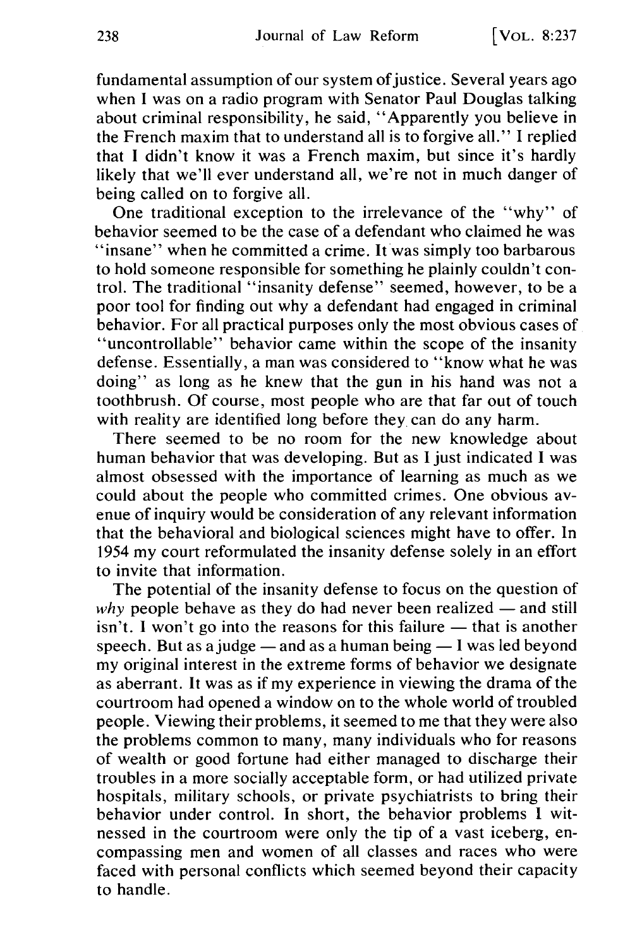fundamental assumption of our system of justice. Several years ago when I was on a radio program with Senator Paul Douglas talking about criminal responsibility, he said, "Apparently you believe in the French maxim that to understand all is to forgive all." I replied that I didn't know it was a French maxim, but since it's hardly likely that we'll ever understand all, we're not in much danger of being called on to forgive all.

One traditional exception to the irrelevance of the "why" of behavior seemed to be the case of a defendant who claimed he was "insane" when he committed a crime. It was simply too barbarous to hold someone responsible for something he plainly couldn't control. The traditional "insanity defense" seemed, however, to be a poor tool for finding out why a defendant had engaged in criminal behavior. For all practical purposes only the most obvious cases of 'uncontrollable" behavior came within the scope of the insanity defense. Essentially, a man was considered to "know what he was doing" as long as he knew that the gun in his hand was not a toothbrush. Of course, most people who are that far out of touch with reality are identified long before they. can do any harm.

There seemed to be no room for the new knowledge about human behavior that was developing. But as I just indicated I was almost obsessed with the importance of learning as much as we could about the people who committed crimes. One obvious avenue of inquiry would be consideration of any relevant information that the behavioral and biological sciences might have to offer. In 1954 my court reformulated the insanity defense solely in an effort to invite that information.

The potential of the insanity defense to focus on the question of *why* people behave as they do had never been realized  $-$  and still isn't. I won't go into the reasons for this failure — that is another speech. But as a judge  $-$  and as a human being  $-1$  was led beyond my original interest in the extreme forms of behavior we designate as aberrant. It was as if my experience in viewing the drama of the courtroom had opened a window on to the whole world of troubled people. Viewing their problems, it seemed to me that they were also the problems common to many, many individuals who for reasons of wealth or good fortune had either managed to discharge their troubles in a more socially acceptable form, or had utilized private hospitals, military schools, or private psychiatrists to bring their behavior under control. In short, the behavior problems I witnessed in the courtroom were only the tip of a vast iceberg, encompassing men and women of all classes and races who were faced with personal conflicts which seemed beyond their capacity to handle.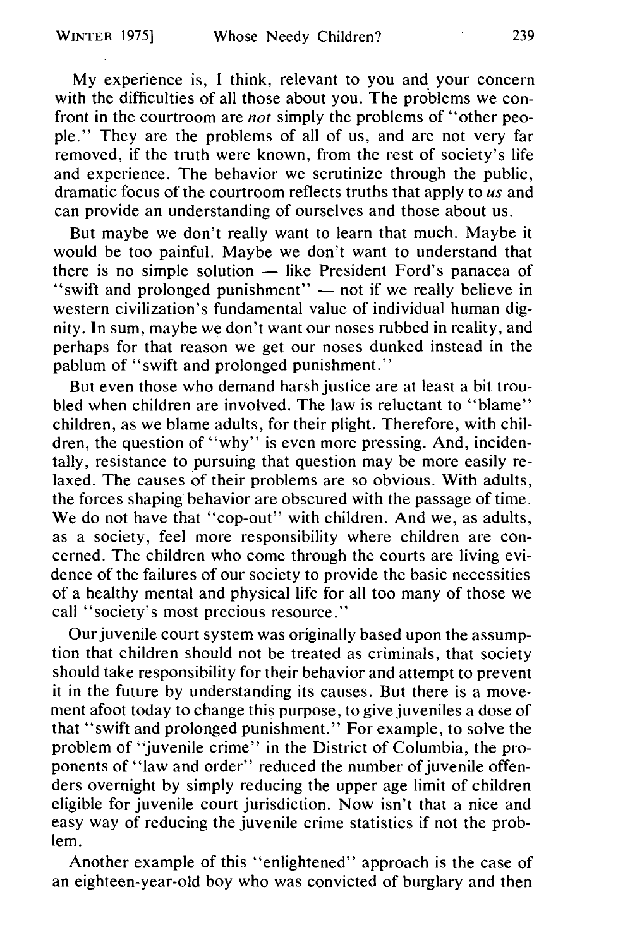My experience is, I think, relevant to you and your concern with the difficulties of all those about you. The problems we confront in the courtroom are *not* simply the problems of "other people." They are the problems of all of us, and are not very far removed, if the truth were known, from the rest of society's life and experience. The behavior we scrutinize through the public, dramatic focus of the courtroom reflects truths that apply to *us* and can provide an understanding of ourselves and those about us.

But maybe we don't really want to learn that much. Maybe it would be too painful. Maybe we don't want to understand that there is no simple solution  $-$  like President Ford's panacea of "swift and prolonged punishment" - not if we really believe in western civilization's fundamental value of individual human dignity. In sum, maybe we don't want our noses rubbed in reality, and perhaps for that reason we get our noses dunked instead in the pablum of "swift and prolonged punishment."

But even those who demand harsh justice are at least a bit troubled when children are involved. The law is reluctant to "blame" children, as we blame adults, for their plight. Therefore, with children, the question of "why" is even more pressing. And, incidentally, resistance to pursuing that question may be more easily relaxed. The causes of their problems are so obvious. With adults, the forces shaping behavior are obscured with the passage of time. We do not have that "cop-out" with children. And we, as adults, as a society, feel more responsibility where children are concerned. The children who come through the courts are living evidence of the failures of our society to provide the basic necessities of a healthy mental and physical life for all too many of those we call "society's most precious resource."

Our juvenile court system was originally based upon the assumption that children should not be treated as criminals, that society should take responsibility for their behavior and attempt to prevent it in the future by understanding its causes. But there is a movement afoot today to change this purpose, to give juveniles a dose of that "swift and prolonged punishment." For example, to solve the problem of "juvenile crime" in the District of Columbia, the proponents of "law and order" reduced the number of juvenile offenders overnight by simply reducing the upper age limit of children eligible for juvenile court jurisdiction. Now isn't that a nice and easy way of reducing the juvenile crime statistics if not the problem.

Another example of this "enlightened" approach is the case of an eighteen-year-old boy who was convicted of burglary and then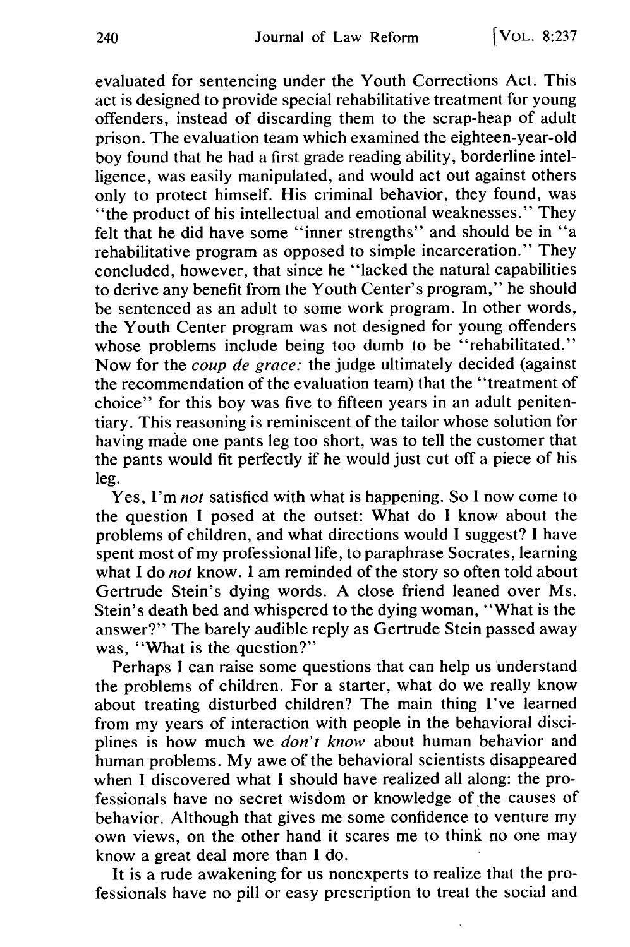evaluated for sentencing under the Youth Corrections Act. This act is designed to provide special rehabilitative treatment for young offenders, instead of discarding them to the scrap-heap of adult prison. The evaluation team which examined the eighteen-year-old boy found that he had a first grade reading ability, borderline intelligence, was easily manipulated, and would act out against others only to protect himself. His criminal behavior, they found, was "the product of his intellectual and emotional weaknesses." They felt that he did have some "inner strengths" and should be in "a rehabilitative program as opposed to simple incarceration." They concluded, however, that since he "lacked the natural capabilities to derive any benefit from the Youth Center's program," he should be sentenced as an adult to some work program. In other words, the Youth Center program was not designed for young offenders whose problems include being too dumb to be "rehabilitated." Now for the *coup de grace:* the judge ultimately decided (against the recommendation of the evaluation team) that the "treatment of choice" for this boy was five to fifteen years in an adult penitentiary. This reasoning is reminiscent of the tailor whose solution for having made one pants leg too short, was to tell the customer that the pants would fit perfectly if he would just cut off a piece of his leg.

Yes, I'm *not* satisfied with what is happening. So I now come to the question I posed at the outset: What do I know about the problems of children, and what directions would I suggest? I have spent most of my professional life, to paraphrase Socrates, learning what I do *not* know. I am reminded of the story so often told about Gertrude Stein's dying words. A close friend leaned over Ms. Stein's death bed and whispered to the dying woman, "What is the answer?" The barely audible reply as Gertrude Stein passed away was, "What is the question?"

Perhaps I can raise some questions that can help us understand the problems of children. For a starter, what do we really know about treating disturbed children? The main thing I've learned from my years of interaction with people in the behavioral disciplines is how much we *don't know* about human behavior and human problems. My awe of the behavioral scientists disappeared when I discovered what I should have realized all along: the professionals have no secret wisdom or knowledge of the causes of behavior. Although that gives me some confidence to venture my own views, on the other hand it scares me to think no one may know a great deal more than I do.

It is a rude awakening for us nonexperts to realize that the professionals have no pill or easy prescription to treat the social and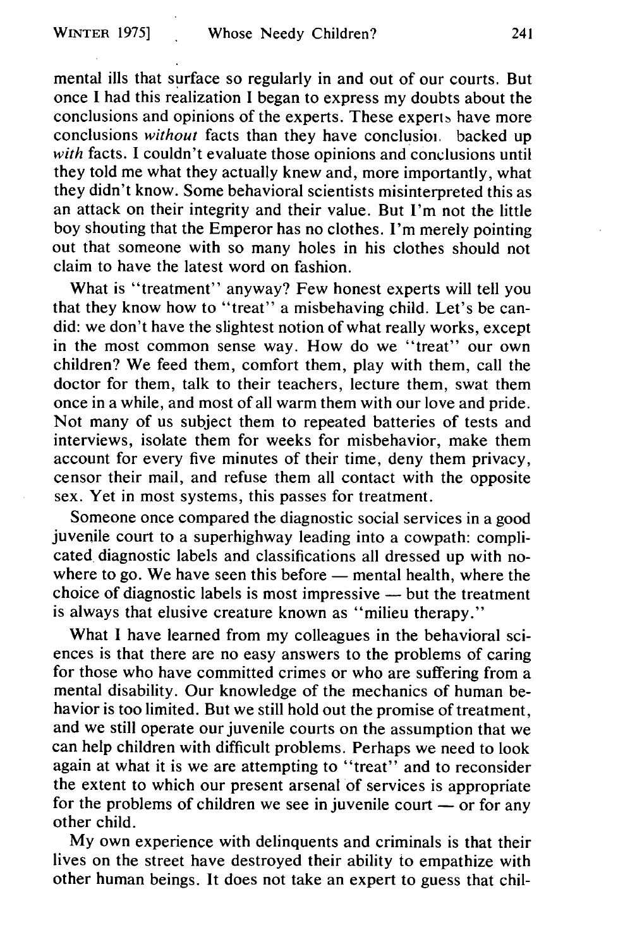mental ills that surface so regularly in and out of our courts. But once I had this realization I began to express my doubts about the conclusions and opinions of the experts. These experts have more conclusions *without* facts than they have conclusioi, backed up *with* facts. I couldn't evaluate those opinions and conclusions until they told me what they actually knew and, more importantly, what they didn't know. Some behavioral scientists misinterpreted this as an attack on their integrity and their value. But I'm not the little boy shouting that the Emperor has no clothes. I'm merely pointing out that someone with so many holes in his clothes should not claim to have the latest word on fashion.

What is "treatment" anyway? Few honest experts will tell you that they know how to "treat" a misbehaving child. Let's be candid: we don't have the slightest notion of what really works, except in the most common sense way. How do we "treat" our own children? We feed them, comfort them, play with them, call the doctor for them, talk to their teachers, lecture them, swat them once in a while, and most of all warm them with our love and pride. Not many of us subject them to repeated batteries of tests and interviews, isolate them for weeks for misbehavior, make them account for every five minutes of their time, deny them privacy, censor their mail, and refuse them all contact with the opposite sex. Yet in most systems, this passes for treatment.

Someone once compared the diagnostic social services in a good juvenile court to a superhighway leading into a cowpath: complicated diagnostic labels and classifications all dressed up with nowhere to go. We have seen this before  $-$  mental health, where the choice of diagnostic labels is most impressive  $-$  but the treatment is always that elusive creature known as "milieu therapy."

What I have learned from my colleagues in the behavioral sciences is that there are no easy answers to the problems of caring for those who have committed crimes or who are suffering from a mental disability. Our knowledge of the mechanics of human behavior is too limited. But we still hold out the promise of treatment, and we still operate our juvenile courts on the assumption that we can help children with difficult problems. Perhaps we need to look again at what it is we are attempting to "treat" and to reconsider the extent to which our present arsenal of services is appropriate for the problems of children we see in juvenile court  $-$  or for any other child.

My own experience with delinquents and criminals is that their lives on the street have destroyed their ability to empathize with other human beings. It does not take an expert to guess that chil-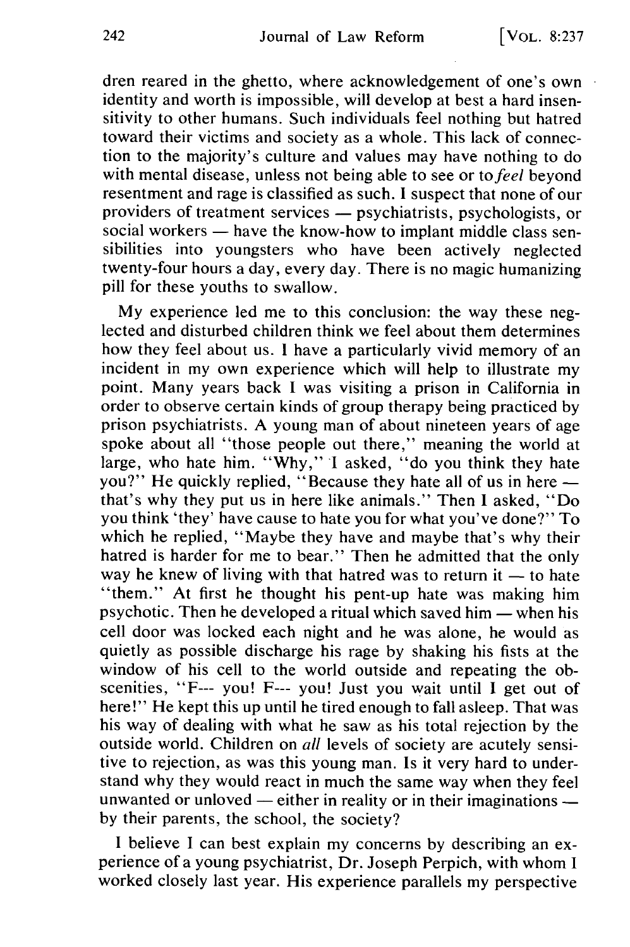dren reared in the ghetto, where acknowledgement of one's own identity and worth is impossible, will develop at best a hard insensitivity to other humans. Such individuals feel nothing but hatred toward their victims and society as a whole. This lack of connection to the majority's culture and values may have nothing to do with mental disease, unless not being able to see or *to feel* beyond resentment and rage is classified as such. I suspect that none of our providers of treatment services — psychiatrists, psychologists, or social workers — have the know-how to implant middle class sensibilities into youngsters who have been actively neglected twenty-four hours a day, every day. There is no magic humanizing pill for these youths to swallow.

My experience led me to this conclusion: the way these neglected and disturbed children think we feel about them determines how they feel about us. **I** have a particularly vivid memory of an incident in my own experience which will help to illustrate my point. Many years back I was visiting a prison in California in order to observe certain kinds of group therapy being practiced by prison psychiatrists. A young man of about nineteen years of age spoke about all "those people out there," meaning the world at large, who hate him. "Why," I asked, "do you think they hate you?" He quickly replied, "Because they hate all of us in here  that's why they put us in here like animals." Then I asked, "Do you think 'they' have cause to hate you for what you've done?" To which he replied, "Maybe they have and maybe that's why their hatred is harder for me to bear." Then he admitted that the only way he knew of living with that hatred was to return it  $-$  to hate "them." At first he thought his pent-up hate was making him psychotic. Then he developed a ritual which saved him  $-$  when his cell door was locked each night and he was alone, he would as quietly as possible discharge his rage by shaking his fists at the window of his cell to the world outside and repeating the obscenities, "F--- you! F--- you! Just you wait until I get out of here!" He kept this up until he tired enough to fall asleep. That was his way of dealing with what he saw as his total rejection by the outside world. Children on *all* levels of society are acutely sensitive to rejection, as was this young man. Is it very hard to understand why they would react in much the same way when they feel unwanted or unloved — either in reality or in their imaginations by their parents, the school, the society?

I believe I can best explain my concerns by describing an experience of a young psychiatrist, Dr. Joseph Perpich, with whom I worked closely last year. His experience parallels my perspective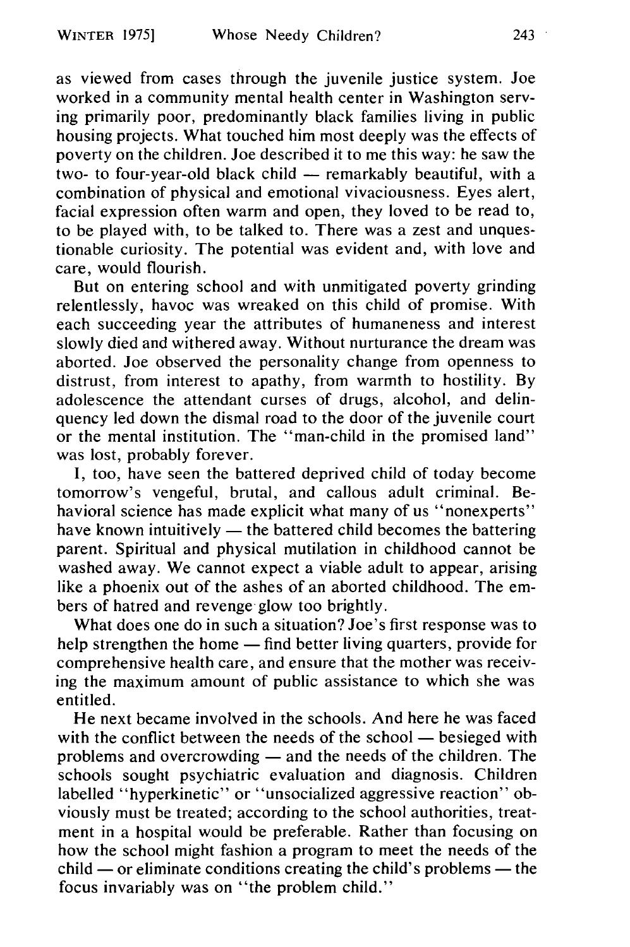as viewed from cases through the juvenile justice system. Joe worked in a community mental health center in Washington serving primarily poor, predominantly black families living in public housing projects. What touched him most deeply was the effects of poverty on the children. Joe described it to me this way: he saw the two- to four-year-old black child  $-$  remarkably beautiful, with a combination of physical and emotional vivaciousness. Eyes alert, facial expression often warm and open, they loved to be read to, to be played with, to be talked to. There was a zest and unquestionable curiosity. The potential was evident and, with love and care, would flourish.

But on entering school and with unmitigated poverty grinding relentlessly, havoc was wreaked on this child of promise. With each succeeding year the attributes of humaneness and interest slowly died and withered away. Without nurturance the dream was aborted. Joe observed the personality change from openness to distrust, from interest to apathy, from warmth to hostility. By adolescence the attendant curses of drugs, alcohol, and delinquency led down the dismal road to the door of the juvenile court or the mental institution. The "man-child in the promised land" was lost, probably forever.

I, too, have seen the battered deprived child of today become tomorrow's vengeful, brutal, and callous adult criminal. Behavioral science has made explicit what many of us "nonexperts" have known intuitively  $-$  the battered child becomes the battering parent. Spiritual and physical mutilation in childhood cannot be washed away. We cannot expect a viable adult to appear, arising like a phoenix out of the ashes of an aborted childhood. The embers of hatred and revenge glow too brightly.

What does one do in such a situation? Joe's first response was to help strengthen the home — find better living quarters, provide for comprehensive health care, and ensure that the mother was receiving the maximum amount of public assistance to which she was entitled.

He next became involved in the schools. And here he was faced with the conflict between the needs of the school  $-$  besieged with problems and overcrowding - and the needs of the children. The schools sought psychiatric evaluation and diagnosis. Children labelled "hyperkinetic" or "unsocialized aggressive reaction" obviously must be treated; according to the school authorities, treatment in a hospital would be preferable. Rather than focusing on how the school might fashion a program to meet the needs of the  $child$  — or eliminate conditions creating the child's problems — the focus invariably was on "the problem child."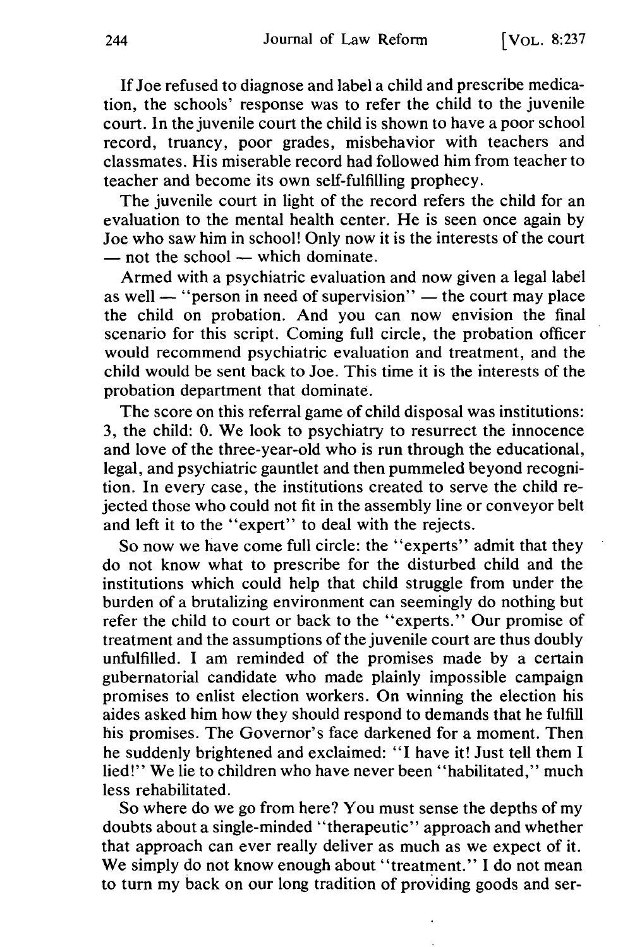If Joe refused to diagnose and label a child and prescribe medication, the schools' response was to refer the child to the juvenile court. In the juvenile court the child is shown to have a poor school record, truancy, poor grades, misbehavior with teachers and classmates. His miserable record had followed him from teacher to teacher and become its own self-fulfilling prophecy.

The juvenile court in light of the record refers the child for an evaluation to the mental health center. He is seen once again by Joe who saw him in school! Only now it is the interests of the court  $-$  not the school  $-$  which dominate.

Armed with a psychiatric evaluation and now given a legal label as well  $-$  "person in need of supervision"  $-$  the court may place the child on probation. And you can now envision the final scenario for this script. Coming full circle, the probation officer would recommend psychiatric evaluation and treatment, and the child would be sent back to Joe. This time it is the interests of the probation department that dominate.

The score on this referral game of child disposal was institutions: 3, the child: 0. We look to psychiatry to resurrect the innocence and love of the three-year-old who is run through the educational, legal, and psychiatric gauntlet and then pummeled beyond recognition. In every case, the institutions created to serve the child rejected those who could not fit in the assembly line or conveyor belt and left it to the "expert" to deal with the rejects.

So now we have come full circle: the "experts" admit that they do not know what to prescribe for the disturbed child and the institutions which could help that child struggle from under the burden of a brutalizing environment can seemingly do nothing but refer the child to court or back to the "experts." Our promise of treatment and the assumptions of the juvenile court are thus doubly unfulfilled. I am reminded of the promises made by a certain gubernatorial candidate who made plainly impossible campaign promises to enlist election workers. On winning the election his aides asked him how they should respond to demands that he fulfill his promises. The Governor's face darkened for a moment. Then he suddenly brightened and exclaimed: "I have it! Just tell them I lied!" We lie to children who have never been "habilitated," much less rehabilitated.

So where do we go from here? You must sense the depths of my doubts about a single-minded "therapeutic" approach and whether that approach can ever really deliver as much as we expect of it. We simply do not know enough about "treatment." I do not mean to turn my back on our long tradition of providing goods and ser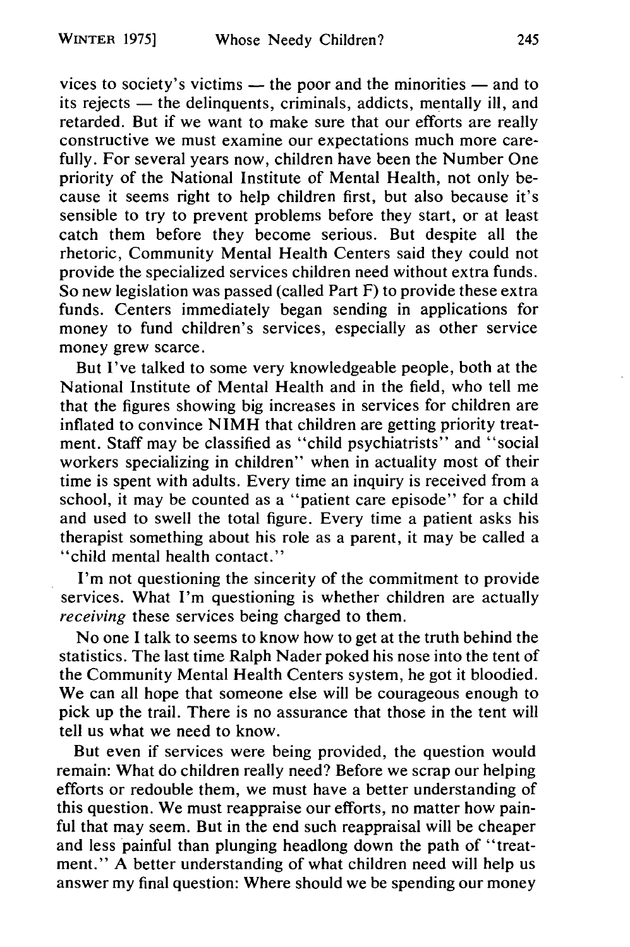vices to society's victims — the poor and the minorities — and to its rejects — the delinquents, criminals, addicts, mentally ill, and retarded. But if we want to make sure that our efforts are really constructive we must examine our expectations much more carefully. For several years now, children have been the Number One priority of the National Institute of Mental Health, not only because it seems right to help children first, but also because it's sensible to try to prevent problems before they start, or at least catch them before they become serious. But despite all the rhetoric, Community Mental Health Centers said they could not provide the specialized services children need without extra funds. So new legislation was passed (called Part F) to provide these extra funds. Centers immediately began sending in applications for money to fund children's services, especially as other service money grew scarce.

But I've talked to some very knowledgeable people, both at the National Institute of Mental Health and in the field, who tell me that the figures showing big increases in services for children are inflated to convince NIMH that children are getting priority treatment. Staff may be classified as "child psychiatrists" and "social workers specializing in children" when in actuality most of their time is spent with adults. Every time an inquiry is received from a school, it may be counted as a "patient care episode" for a child and used to swell the total figure. Every time a patient asks his therapist something about his role as a parent, it may be called a "child mental health contact."

I'm not questioning the sincerity of the commitment to provide services. What I'm questioning is whether children are actually *receiving* these services being charged to them.

No one I talk to seems to know how to get at the truth behind the statistics. The last time Ralph Nader poked his nose into the tent of the Community Mental Health Centers system, he got it bloodied. We can all hope that someone else will be courageous enough to pick up the trail. There is no assurance that those in the tent will tell us what we need to know.

But even if services were being provided, the question would remain: What do children really need? Before we scrap our helping efforts or redouble them, we must have a better understanding of this question. We must reappraise our efforts, no matter how painful that may seem. But in the end such reappraisal will be cheaper and less painful than plunging headlong down the path of "treatment." A better understanding of what children need will help us answer my final question: Where should we be spending our money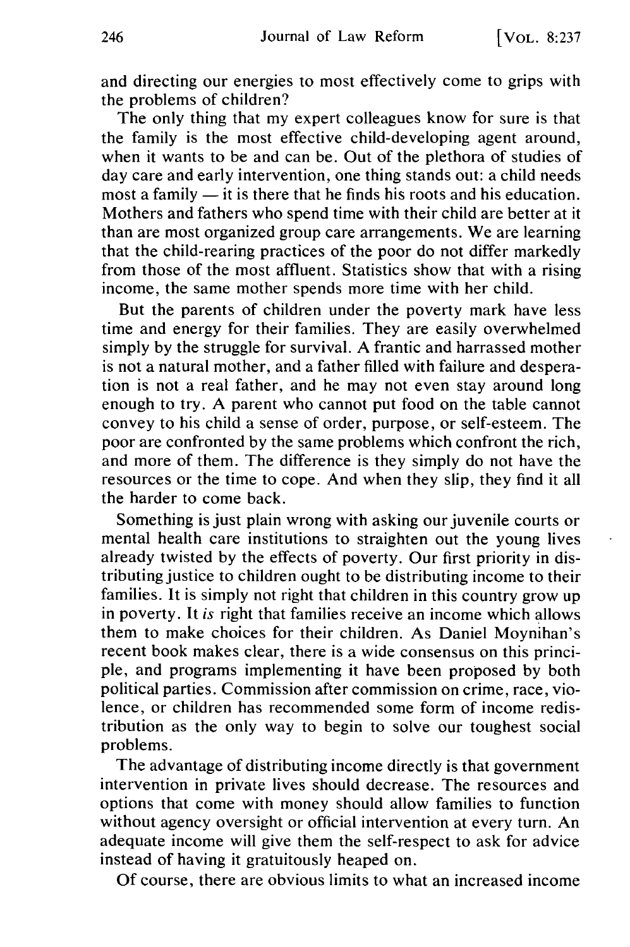and directing our energies to most effectively come to grips with the problems of children?

The only thing that my expert colleagues know for sure is that the family is the most effective child-developing agent around, when it wants to be and can be. Out of the plethora of studies of day care and early intervention, one thing stands out: a child needs most a family  $-$  it is there that he finds his roots and his education. Mothers and fathers who spend time with their child are better at it than are most organized group care arrangements. We are learning that the child-rearing practices of the poor do not differ markedly from those of the most affluent. Statistics show that with a rising income, the same mother spends more time with her child.

But the parents of children under the poverty mark have less time and energy for their families. They are easily overwhelmed simply by the struggle for survival. A frantic and harrassed mother is not a natural mother, and a father filled with failure and desperation is not a real father, and he may not even stay around long enough to try. A parent who cannot put food on the table cannot convey to his child a sense of order, purpose, or self-esteem. The poor are confronted by the same problems which confront the rich, and more of them. The difference is they simply do not have the resources or the time to cope. And when they slip, they find it all the harder to come back.

Something is just plain wrong with asking our juvenile courts or mental health care institutions to straighten out the young lives already twisted by the effects of poverty. Our first priority in distributing justice to children ought to be distributing income to their families. It is simply not right that children in this country grow up in poverty. It *is* right that families receive an income which allows them to make choices for their children. As Daniel Moynihan's recent book makes clear, there is a wide consensus on this principle, and programs implementing it have been proposed by both political parties. Commission after commission on crime, race, violence, or children has recommended some form of income redistribution as the only way to begin to solve our toughest social problems.

The advantage of distributing income directly is that government intervention in private lives should decrease. The resources and options that come with money should allow families to function without agency oversight or official intervention at every turn. An adequate income will give them the self-respect to ask for advice instead of having it gratuitously heaped on.

Of course, there are obvious limits to what an increased income